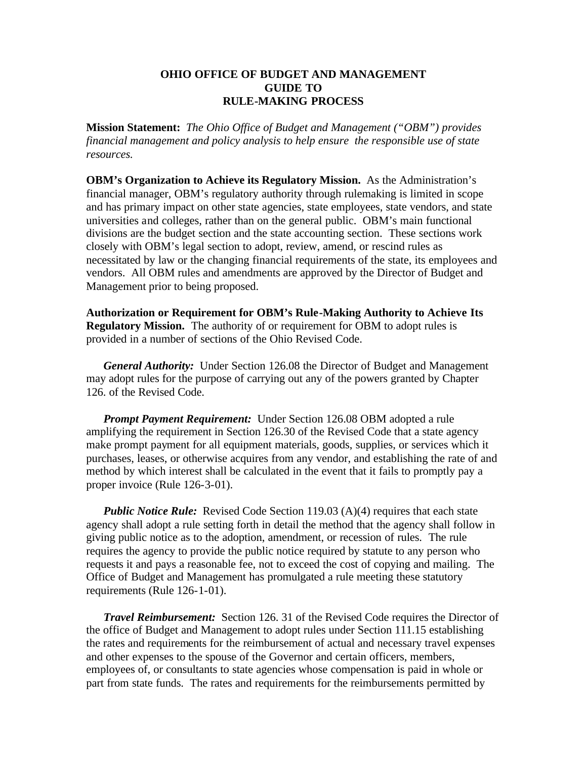## **OHIO OFFICE OF BUDGET AND MANAGEMENT GUIDE TO RULE-MAKING PROCESS**

**Mission Statement:** *The Ohio Office of Budget and Management ("OBM") provides financial management and policy analysis to help ensure the responsible use of state resources.*

**OBM's Organization to Achieve its Regulatory Mission.** As the Administration's financial manager, OBM's regulatory authority through rulemaking is limited in scope and has primary impact on other state agencies, state employees, state vendors, and state universities and colleges, rather than on the general public. OBM's main functional divisions are the budget section and the state accounting section. These sections work closely with OBM's legal section to adopt, review, amend, or rescind rules as necessitated by law or the changing financial requirements of the state, its employees and vendors. All OBM rules and amendments are approved by the Director of Budget and Management prior to being proposed.

**Authorization or Requirement for OBM's Rule-Making Authority to Achieve Its Regulatory Mission.** The authority of or requirement for OBM to adopt rules is provided in a number of sections of the Ohio Revised Code.

*General Authority:* Under Section 126.08 the Director of Budget and Management may adopt rules for the purpose of carrying out any of the powers granted by Chapter 126. of the Revised Code.

*Prompt Payment Requirement:* Under Section 126.08 OBM adopted a rule amplifying the requirement in Section 126.30 of the Revised Code that a state agency make prompt payment for all equipment materials, goods, supplies, or services which it purchases, leases, or otherwise acquires from any vendor, and establishing the rate of and method by which interest shall be calculated in the event that it fails to promptly pay a proper invoice (Rule 126-3-01).

*Public Notice Rule:* Revised Code Section 119.03 (A)(4) requires that each state agency shall adopt a rule setting forth in detail the method that the agency shall follow in giving public notice as to the adoption, amendment, or recession of rules. The rule requires the agency to provide the public notice required by statute to any person who requests it and pays a reasonable fee, not to exceed the cost of copying and mailing. The Office of Budget and Management has promulgated a rule meeting these statutory requirements (Rule 126-1-01).

*Travel Reimbursement:* Section 126. 31 of the Revised Code requires the Director of the office of Budget and Management to adopt rules under Section 111.15 establishing the rates and requirements for the reimbursement of actual and necessary travel expenses and other expenses to the spouse of the Governor and certain officers, members, employees of, or consultants to state agencies whose compensation is paid in whole or part from state funds. The rates and requirements for the reimbursements permitted by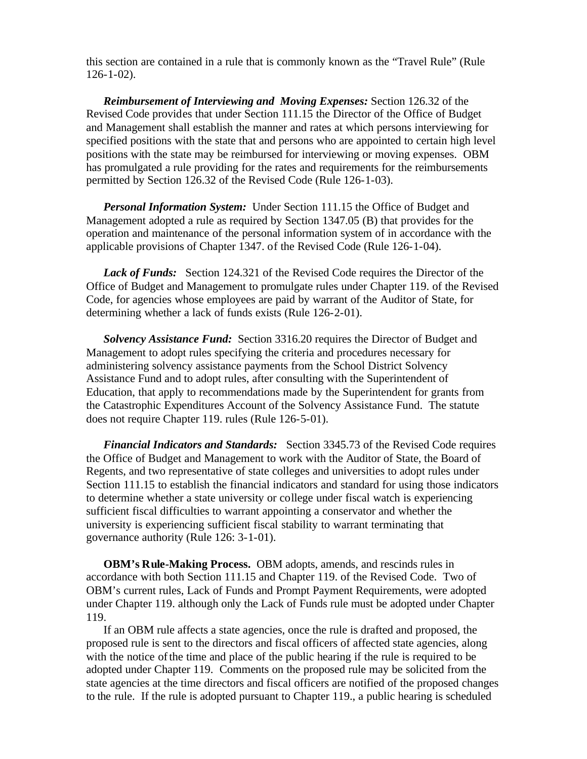this section are contained in a rule that is commonly known as the "Travel Rule" (Rule 126-1-02).

*Reimbursement of Interviewing and Moving Expenses:* Section 126.32 of the Revised Code provides that under Section 111.15 the Director of the Office of Budget and Management shall establish the manner and rates at which persons interviewing for specified positions with the state that and persons who are appointed to certain high level positions with the state may be reimbursed for interviewing or moving expenses. OBM has promulgated a rule providing for the rates and requirements for the reimbursements permitted by Section 126.32 of the Revised Code (Rule 126-1-03).

*Personal Information System:* Under Section 111.15 the Office of Budget and Management adopted a rule as required by Section 1347.05 (B) that provides for the operation and maintenance of the personal information system of in accordance with the applicable provisions of Chapter 1347. of the Revised Code (Rule 126-1-04).

*Lack of Funds:* Section 124.321 of the Revised Code requires the Director of the Office of Budget and Management to promulgate rules under Chapter 119. of the Revised Code, for agencies whose employees are paid by warrant of the Auditor of State, for determining whether a lack of funds exists (Rule 126-2-01).

*Solvency Assistance Fund:* Section 3316.20 requires the Director of Budget and Management to adopt rules specifying the criteria and procedures necessary for administering solvency assistance payments from the School District Solvency Assistance Fund and to adopt rules, after consulting with the Superintendent of Education, that apply to recommendations made by the Superintendent for grants from the Catastrophic Expenditures Account of the Solvency Assistance Fund. The statute does not require Chapter 119. rules (Rule 126-5-01).

*Financial Indicators and Standards:* Section 3345.73 of the Revised Code requires the Office of Budget and Management to work with the Auditor of State, the Board of Regents, and two representative of state colleges and universities to adopt rules under Section 111.15 to establish the financial indicators and standard for using those indicators to determine whether a state university or college under fiscal watch is experiencing sufficient fiscal difficulties to warrant appointing a conservator and whether the university is experiencing sufficient fiscal stability to warrant terminating that governance authority (Rule 126: 3-1-01).

**OBM's Rule-Making Process.** OBM adopts, amends, and rescinds rules in accordance with both Section 111.15 and Chapter 119. of the Revised Code. Two of OBM's current rules, Lack of Funds and Prompt Payment Requirements, were adopted under Chapter 119. although only the Lack of Funds rule must be adopted under Chapter 119.

If an OBM rule affects a state agencies, once the rule is drafted and proposed, the proposed rule is sent to the directors and fiscal officers of affected state agencies, along with the notice of the time and place of the public hearing if the rule is required to be adopted under Chapter 119. Comments on the proposed rule may be solicited from the state agencies at the time directors and fiscal officers are notified of the proposed changes to the rule. If the rule is adopted pursuant to Chapter 119., a public hearing is scheduled